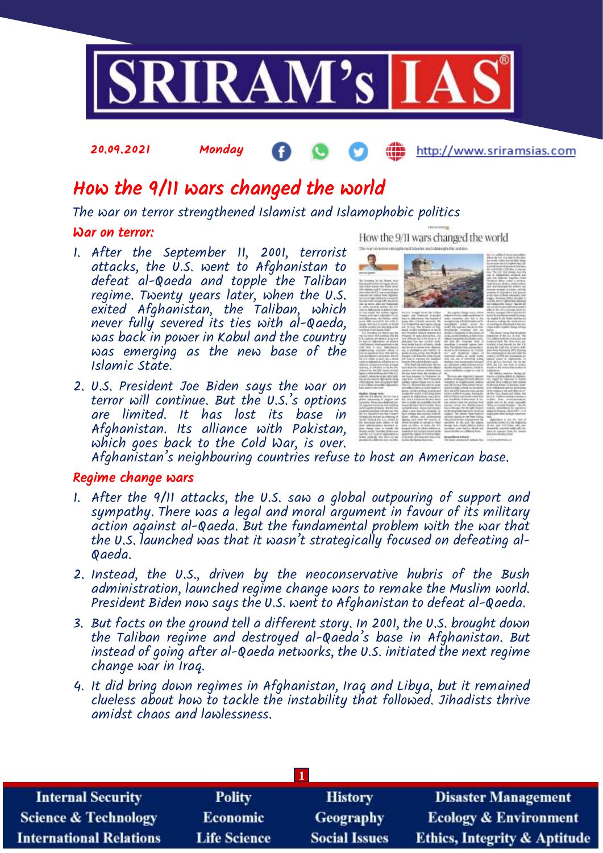

# How the 9/11 wars changed the world

The war on terror strengthened Islamist and Islamophobic politics

## War on terror:

- 1. After the September 11, 2001, terrorist attacks, the  $\dot{\nu}$ . s. went to Afghanistan to defeat al-Qaeda and topple the Taliban regime. Twenty years later, when the U.S. exited Afghanistan, the Taliban, which never fully severed its ties with al-Qaeda, was back in power in Kabul and the country was emerging as the new base of the Islamic State.
- 2. U.S. President Joe Biden says the war on terror will continue. But the U.S.'s options are limited. It has lost its base in Afghanistan. Its alliance with Pakistan, which goes back to the Cold War, is over.

Afghanistan's neighbouring countries refuse to host an American base.

# Regime change wars

- 1. After the 9/11 attacks, the U.S. saw a global outpouring of support and sympathy. There was a legal and moral argument in favour of its military action against al-Qaeda. But the fundamental problem with the war that the U.S. launched was that it wasn't strategically focused on defeating al-Qaeda.
- 2. Instead, the U.S., driven by the neoconservative hubris of the Bush administration, launched regime change wars to remake the Muslim world. President Biden now says the U.S. went to Afghanistan to defeat al-Qaeda.
- 3. But facts on the ground tell a different story. In 2001, the U.S. brought down the Taliban regime and destroyed al-Qaeda's base in Afghanistan. But instead of going after al-Qaeda networks, the U.S. initiated the next regime change war in Iraq.
- 4. It did bring down regimes in Afghanistan, Iraq and Libya, but it remained clueless about how to tackle the instability that followed. Jihadists thrive amidst chaos and lawlessness.

| <b>Internal Security</b>        | <b>Polity</b>       | <b>History</b>       | <b>Disaster Management</b>              |  |
|---------------------------------|---------------------|----------------------|-----------------------------------------|--|
| <b>Science &amp; Technology</b> | <b>Economic</b>     | Geography            | <b>Ecology &amp; Environment</b>        |  |
| <b>International Relations</b>  | <b>Life Science</b> | <b>Social Issues</b> | <b>Ethics, Integrity &amp; Aptitude</b> |  |

How the 9/II wars changed the world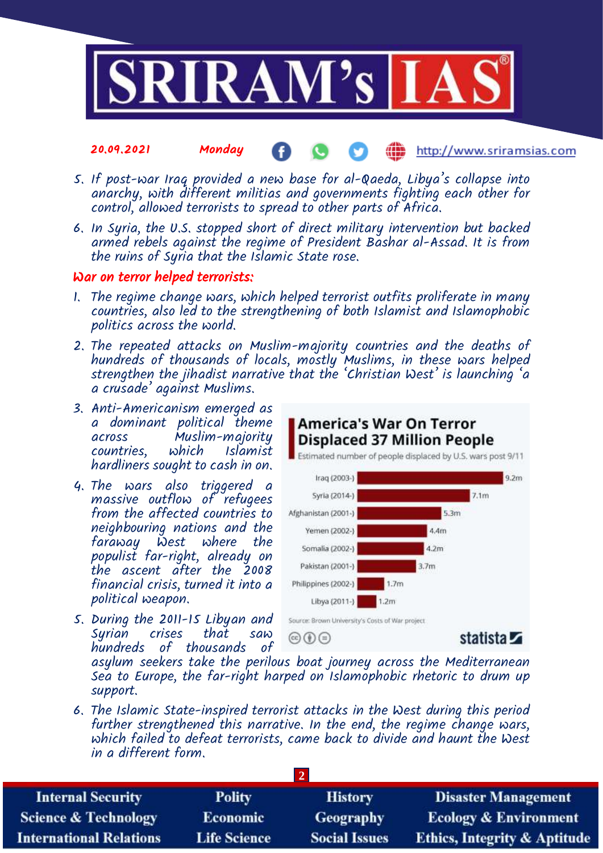

- 5. If post-war Iraq provided a new base for al-Qaeda, Libya's collapse into anarchy, with different militias and governments fighting each other for control, allowed terrorists to spread to other parts of Africa.
- 6. In Syria, the U.S. stopped short of direct military intervention but backed armed rebels against the regime of President Bashar al-Assad. It is from the ruins of Syria that the Islamic State rose.

# War on terror helped terrorists:

- 1. The regime change wars, which helped terrorist outfits proliferate in many countries, also led to the strengthening of both Islamist and Islamophobic politics across the world.
- 2. The repeated attacks on Muslim-majority countries and the deaths of hundreds of thousands of locals, mostly Muslims, in these wars helped strengthen the jihadist narrative that the 'Christian West' is launching 'a a crusade' against Muslims.
- 3. Anti-Americanism emerged as a dominant political theme Muslim-majority<br>which Islamist countries. hardliners sought to cash in on.
- 4. The wars also triggered a massive outflow of refugees from the affected countries to neighbouring nations and the faraway West where the populist far-right, already on the ascent after the 2008 financial crisis, turned it into a political weapon.
- 5. During the 2011-15 Libyan and Syrian crises that saw hundreds of thousands of



asylum seekers take the perilous boat journey across the Mediterranean Sea to Europe, the far-right harped on Islamophobic rhetoric to drum up support.

6. The Islamic State-inspired terrorist attacks in the West during this period further strengthened this narrative. In the end, the regime change wars, which failed to defeat terrorists, came back to divide and haunt the West in a different form.

| <b>Internal Security</b>        | <b>Polity</b>       | <b>History</b>       | <b>Disaster Management</b>              |  |
|---------------------------------|---------------------|----------------------|-----------------------------------------|--|
| <b>Science &amp; Technology</b> | <b>Economic</b>     | Geography            | <b>Ecology &amp; Environment</b>        |  |
| <b>International Relations</b>  | <b>Life Science</b> | <b>Social Issues</b> | <b>Ethics, Integrity &amp; Aptitude</b> |  |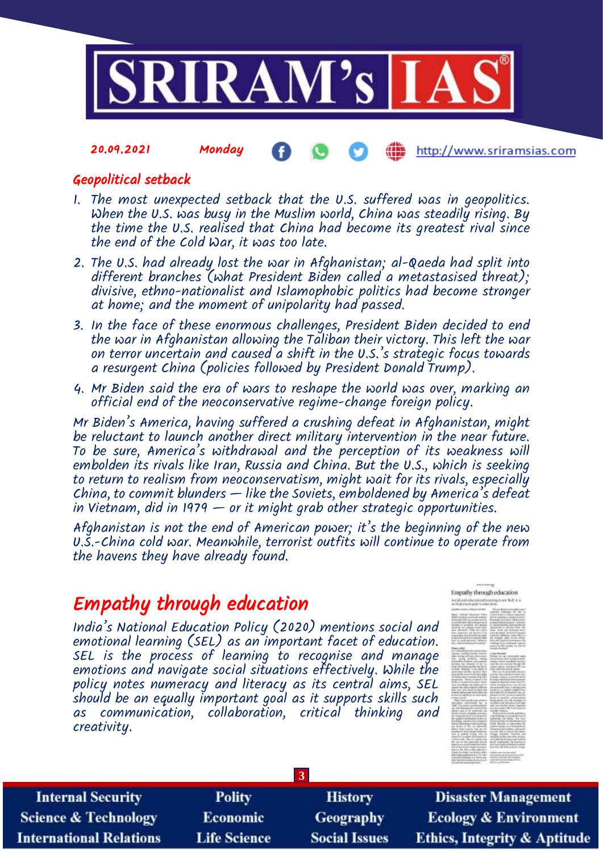

# Geopolitical setback

- 1. The most unexpected setback that the U.S. suffered was in geopolitics. When the U.S. was busy in the Muslim world, China was steadily rising. By the time the U.S. realised that China had become its greatest rival since the end of the Cold War, it was too late.
- 2. The U.S. had already lost the war in Afghanistan; al-Qaeda had split into different branches (what President Biden called a metastasised threat); divisive, ethno-nationalist and Islamophobic politics had become stronger at home; and the moment of unipolarity had passed.
- 3. In the face of these enormous challenges, President Biden decided to end the war in Afghanistan allowing the Taliban their victory. This left the war on terror uncertain and caused a shift in the U.S.'s strategic focus towards a resurgent China (policies followed by President Donald Trump).
- 4. Mr Biden said the era of wars to reshape the world was over, marking an official end of the neoconservative regime-change foreign policy.

Mr Biden's America, having suffered a crushing defeat in Afghanistan, might be reluctant to launch another direct military intervention in the near future. To be sure, America's withdrawal and the perception of its weakness will embolden its rivals like Iran, Russia and China. But the U.S., which is seeking to return to realism from neoconservatism, might wait for its rivals, especially China, to commit blunders  $-$  like the Soviets, emboldened by America's defeat in Vietnam, did in 1979  $-$  or it might grab other strategic opportunities.

Afghanistan is not the end of American power; it's the beginning of the new U.S.-China cold war. Meanwhile, terrorist outfits will continue to operate from the havens they have already found.

# Empathy through education

India's National Education Policy (2020) mentions social and emotional learning (SEL) as an important facet of education. SEL is the process of learning to recognise and manage emotions and navigate social situations effectively. While the policy notes numeracy and literacy as its central aims, SEL should be an equally important goal as it supports skills such as communication, collaboration, critical thinking and creativity.



| <b>Internal Security</b>        | <b>Polity</b>       | <b>History</b>       | <b>Disaster Management</b>              |  |
|---------------------------------|---------------------|----------------------|-----------------------------------------|--|
| <b>Science &amp; Technology</b> | <b>Economic</b>     | Geography            | <b>Ecology &amp; Environment</b>        |  |
| <b>International Relations</b>  | <b>Life Science</b> | <b>Social Issues</b> | <b>Ethics, Integrity &amp; Aptitude</b> |  |

**3**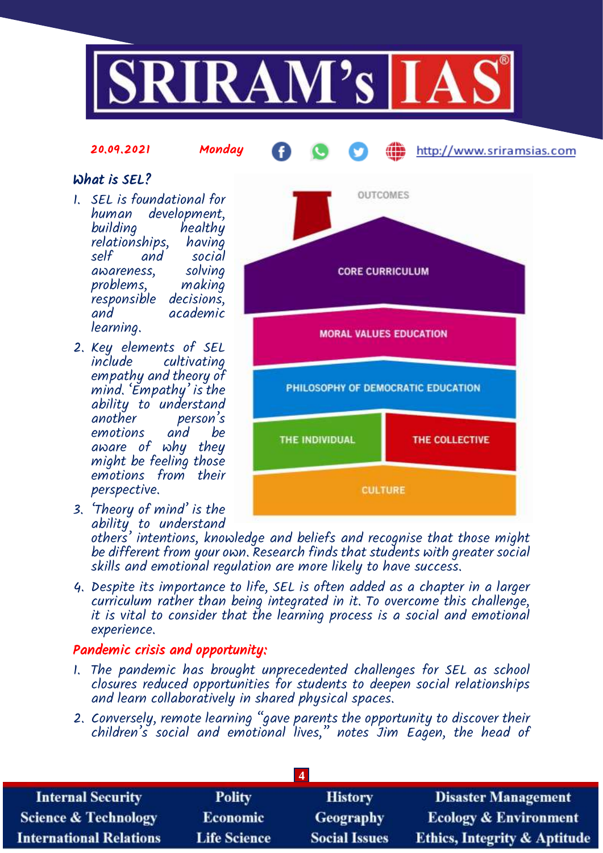

# What is SEL?

1. SEL is foundational for human development, building healthy<br>relationships, having relationships,<br>self and social awareness, solving problems, responsible decisions, and academic learning.

20.09.2021 Monday

- 2. Key elements of SEL cultivating empathy and theory of mind. 'Empathy' is the ability to understand another person's and be aware of why they might be feeling those emotions from their perspective.
- 3. 'Theory of mind' is the ability to understand



http://www.sriramsias.com

others' intentions, knowledge and beliefs and recognise that those might be different from your own. Research finds that students with greater social skills and emotional regulation are more likely to have success.

4. Despite its importance to life, SEL is often added as a chapter in a larger curriculum rather than being integrated in it. To overcome this challenge, it is vital to consider that the learning process is a social and emotional experience.

# Pandemic crisis and opportunity:

- 1. The pandemic has brought unprecedented challenges for SEL as school closures reduced opportunities for students to deepen social relationships and learn collaboratively in shared physical spaces.
- 2. Conversely, remote learning "gave parents the opportunity to discover their children's social and emotional lives," notes Jim Eagen, the head of

| <b>Internal Security</b>        | <b>Polity</b>       | <b>History</b>       | <b>Disaster Management</b>              |
|---------------------------------|---------------------|----------------------|-----------------------------------------|
| <b>Science &amp; Technology</b> | <b>Economic</b>     | Geography            | <b>Ecology &amp; Environment</b>        |
| <b>International Relations</b>  | <b>Life Science</b> | <b>Social Issues</b> | <b>Ethics, Integrity &amp; Aptitude</b> |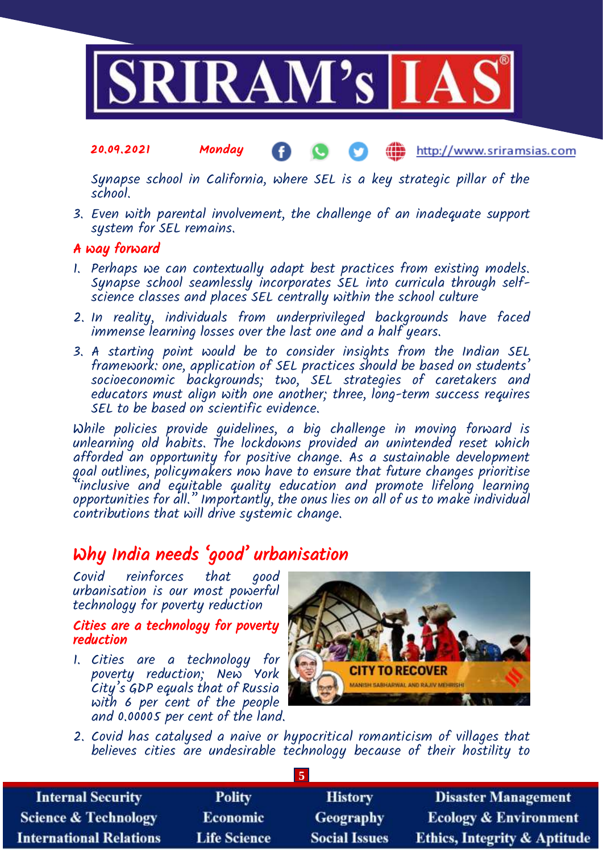

Synapse school in California, where SEL is a key strategic pillar of the school.

3. Even with parental involvement, the challenge of an inadequate support system for SEL remains.

# A way forward

- 1. Perhaps we can contextually adapt best practices from existing models. Synapse school seamlessly incorporates SEL into curricula through selfscience classes and places SEL centrally within the school culture
- 2. In reality, individuals from underprivileged backgrounds have faced immense learning losses over the last one and a half years.
- 3. A starting point would be to consider insights from the Indian SEL framework: one, application of SEL practices should be based on students' socioeconomic backgrounds; two, SEL strategies of caretakers and educators must align with one another; three, long-term success requires SEL to be based on scientific evidence.

While policies provide guidelines, a big challenge in moving forward is unlearning old habits. The lockdowns provided an unintended reset which afforded an opportunity for positive change. As a sustainable development goal outlines, policymakers now have to ensure that future changes prioritise "inclusive and equitable quality education and promote lifelong learning opportunities for all." Importantly, the onus lies on all of us to make individual contributions that will drive systemic change.

# Why India needs 'good' urbanisation

Covid reinforces that good urbanisation is our most powerful technology for poverty reduction

## Cities are a technology for poverty reduction

1. Cities are a technology for poverty reduction; New York City's GDP equals that of Russia with 6 per cent of the people and 0.00005 per cent of the land.



2. Covid has catalysed a naive or hypocritical romanticism of villages that believes cities are undesirable technology because of their hostility to

**5**

| <b>Internal Security</b>        | <b>Polity</b>       | <b>History</b>       | <b>Disaster Management</b>              |  |
|---------------------------------|---------------------|----------------------|-----------------------------------------|--|
| <b>Science &amp; Technology</b> | <b>Economic</b>     | Geography            | <b>Ecology &amp; Environment</b>        |  |
| <b>International Relations</b>  | <b>Life Science</b> | <b>Social Issues</b> | <b>Ethics, Integrity &amp; Aptitude</b> |  |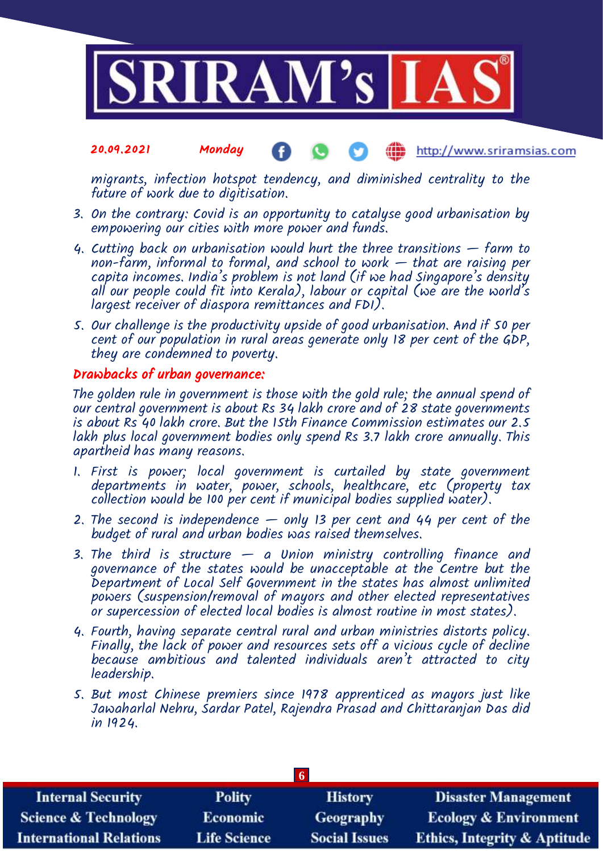

migrants, infection hotspot tendency, and diminished centrality to the future of work due to digitisation.

- 3. On the contrary: Covid is an opportunity to catalyse good urbanisation by empowering our cities with more power and funds.
- 4. Cutting back on urbanisation would hurt the three transitions  $-$  farm to non-farm, informal to formal, and school to work  $-$  that are raising per capita incomes. India's problem is not land (if we had Singapore's density all our people could fit into Kerala), labour or capital (we are the world's largest receiver of diaspora remittances and FDI).
- 5. Our challenge is the productivity upside of good urbanisation. And if 50 per cent of our population in rural areas generate only 18 per cent of the GDP, they are condemned to poverty.

# Drawbacks of urban governance:

The golden rule in government is those with the gold rule; the annual spend of our central government is about Rs 34 lakh crore and of 28 state governments is about Rs 40 lakh crore. But the 15th Finance Commission estimates our 2.5 lakh plus local government bodies only spend Rs 3.7 lakh crore annually. This apartheid has many reasons.

- 1. First is power; local government is curtailed by state government departments in water, power, schools, healthcare, etc (property tax collection would be 100 per cent if municipal bodies supplied water).
- 2. The second is independence only 13 per cent and 44 per cent of the budget of rural and urban bodies was raised themselves.
- 3. The third is structure  $-$  a Union ministry controlling finance and governance of the states would be unacceptable at the Centre but the Department of Local Self Government in the states has almost unlimited powers (suspension/removal of mayors and other elected representatives or supercession of elected local bodies is almost routine in most states).
- 4. Fourth, having separate central rural and urban ministries distorts policy. Finally, the lack of power and resources sets off a vicious cycle of decline because ambitious and talented individuals aren't attracted to city leadership.
- 5. But most Chinese premiers since 1978 apprenticed as mayors just like Jawaharlal Nehru, Sardar Patel, Rajendra Prasad and Chittaranjan Das did in 1924.

| <b>Internal Security</b>        | <b>Polity</b>       | <b>History</b>       | <b>Disaster Management</b>              |  |
|---------------------------------|---------------------|----------------------|-----------------------------------------|--|
| <b>Science &amp; Technology</b> | <b>Economic</b>     | Geography            | <b>Ecology &amp; Environment</b>        |  |
| <b>International Relations</b>  | <b>Life Science</b> | <b>Social Issues</b> | <b>Ethics, Integrity &amp; Aptitude</b> |  |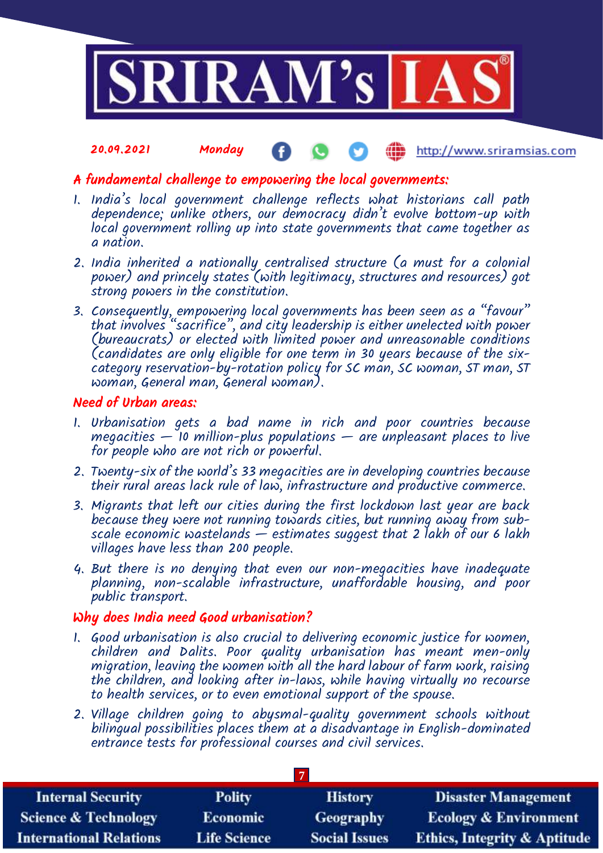

# A fundamental challenge to empowering the local governments:

- 1. India's local government challenge reflects what historians call path dependence; unlike others, our democracy didn't evolve bottom-up with local government rolling up into state governments that came together as a nation.
- 2. India inherited a nationally centralised structure (a must for a colonial power) and princely states (with legitimacy, structures and resources) got strong powers in the constitution.
- 3. Consequently, empowering local governments has been seen as a "favour" that involves "sacrifice", and city leadership is either unelected with power (bureaucrats) or elected with limited power and unreasonable conditions (candidates are only eligible for one term in 30 years because of the sixcategory reservation-by-rotation policy for SC man, SC woman, ST man, ST woman, General man, General woman).

## Need of Urban areas:

- 1. Urbanisation gets a bad name in rich and poor countries because megacities  $-$  10 million-plus populations  $-$  are unpleasant places to live for people who are not rich or powerful.
- 2. Twenty-six of the world's 33 megacities are in developing countries because their rural areas lack rule of law, infrastructure and productive commerce.
- 3. Migrants that left our cities during the first lockdown last year are back because they were not running towards cities, but running away from subscale economic wastelands — estimates suggest that 2 lakh of our 6 lakh villages have less than 200 people.
- 4. But there is no denying that even our non-megacities have inadequate planning, non-scalable infrastructure, unaffordable housing, and poor public transport.

# Why does India need Good urbanisation?

- 1. Good urbanisation is also crucial to delivering economic justice for women, children and Dalits. Poor quality urbanisation has meant men-only migration, leaving the women with all the hard labour of farm work, raising the children, and looking after in-laws, while having virtually no recourse to health services, or to even emotional support of the spouse.
- 2. Village children going to abysmal-quality government schools without bilingual possibilities places them at a disadvantage in English-dominated entrance tests for professional courses and civil services.

| <b>Internal Security</b>        | <b>Polity</b>       | <b>History</b>       | <b>Disaster Management</b>              |
|---------------------------------|---------------------|----------------------|-----------------------------------------|
| <b>Science &amp; Technology</b> | <b>Economic</b>     | Geography            | <b>Ecology &amp; Environment</b>        |
| <b>International Relations</b>  | <b>Life Science</b> | <b>Social Issues</b> | <b>Ethics, Integrity &amp; Aptitude</b> |